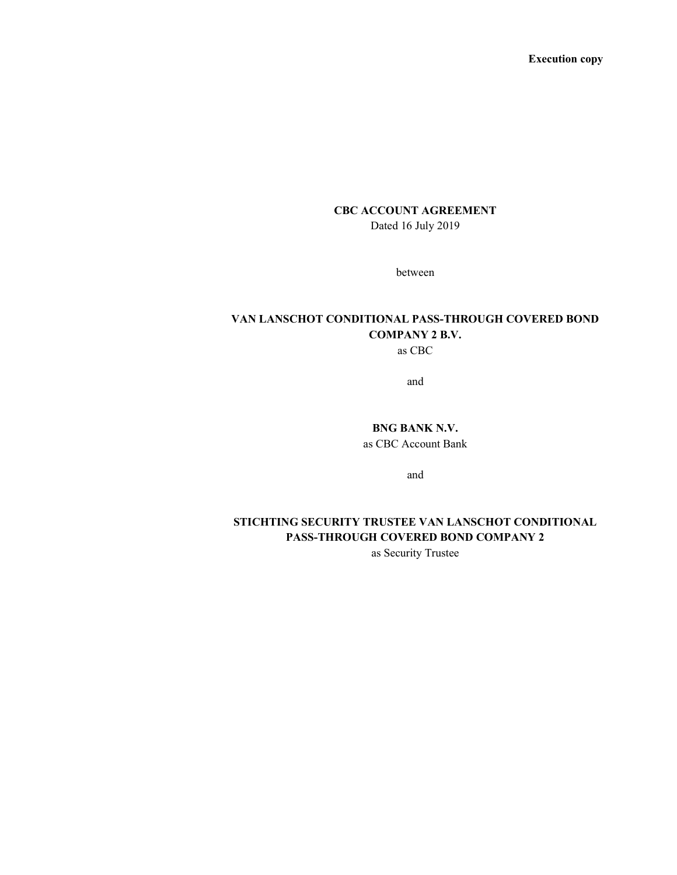Execution copy

# CBC ACCOUNT AGREEMENT

Dated 16 July 2019

between

# VAN LANSCHOT CONDITIONAL PASS-THROUGH COVERED BOND COMPANY 2 B.V.

as CBC

and

BNG BANK N.V. as CBC Account Bank

and

# STICHTING SECURITY TRUSTEE VAN LANSCHOT CONDITIONAL PASS-THROUGH COVERED BOND COMPANY 2

as Security Trustee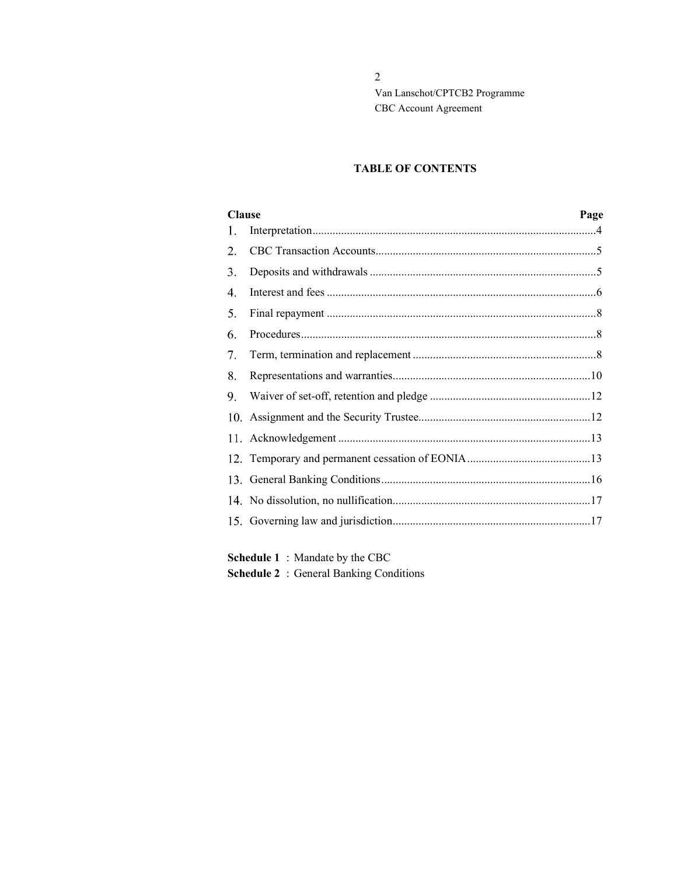### TABLE OF CONTENTS

| <b>Clause</b><br>Page |  |
|-----------------------|--|
| 1.                    |  |
| 2.                    |  |
| 3.                    |  |
| 4.                    |  |
| 5.                    |  |
| 6.                    |  |
| 7.                    |  |
| 8.                    |  |
| 9.                    |  |
|                       |  |
|                       |  |
|                       |  |
|                       |  |
|                       |  |
|                       |  |
|                       |  |

Schedule 1 : Mandate by the CBC

Schedule 2 : General Banking Conditions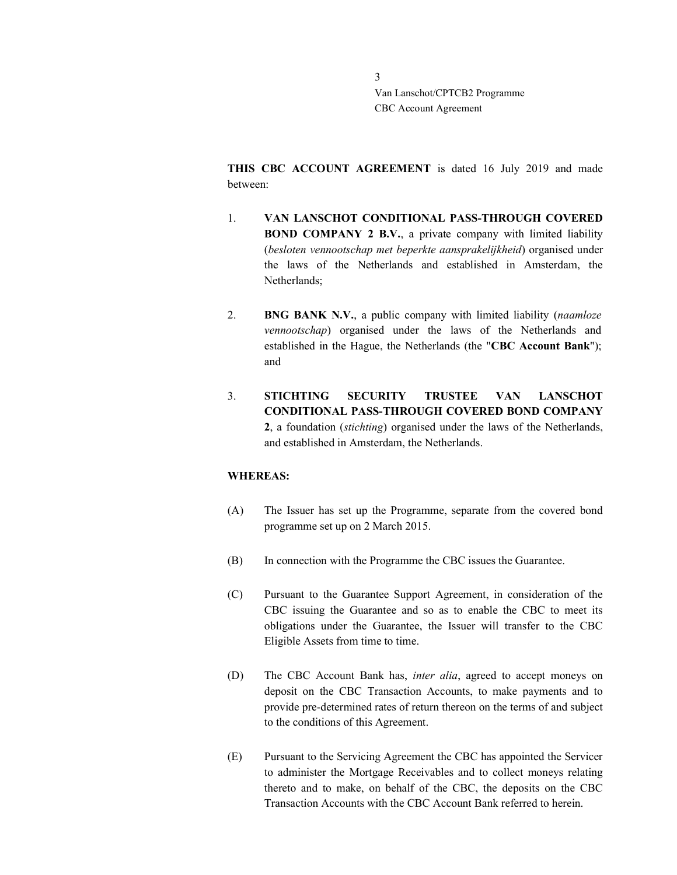THIS CBC ACCOUNT AGREEMENT is dated 16 July 2019 and made between:

- 1. VAN LANSCHOT CONDITIONAL PASS-THROUGH COVERED BOND COMPANY 2 B.V., a private company with limited liability (besloten vennootschap met beperkte aansprakelijkheid) organised under the laws of the Netherlands and established in Amsterdam, the Netherlands;
- 2. BNG BANK N.V., a public company with limited liability (naamloze vennootschap) organised under the laws of the Netherlands and established in the Hague, the Netherlands (the "CBC Account Bank"); and
- 3. STICHTING SECURITY TRUSTEE VAN LANSCHOT CONDITIONAL PASS-THROUGH COVERED BOND COMPANY 2, a foundation (stichting) organised under the laws of the Netherlands, and established in Amsterdam, the Netherlands.

### WHEREAS:

- (A) The Issuer has set up the Programme, separate from the covered bond programme set up on 2 March 2015.
- (B) In connection with the Programme the CBC issues the Guarantee.
- (C) Pursuant to the Guarantee Support Agreement, in consideration of the CBC issuing the Guarantee and so as to enable the CBC to meet its obligations under the Guarantee, the Issuer will transfer to the CBC Eligible Assets from time to time.
- (D) The CBC Account Bank has, inter alia, agreed to accept moneys on deposit on the CBC Transaction Accounts, to make payments and to provide pre-determined rates of return thereon on the terms of and subject to the conditions of this Agreement.
- (E) Pursuant to the Servicing Agreement the CBC has appointed the Servicer to administer the Mortgage Receivables and to collect moneys relating thereto and to make, on behalf of the CBC, the deposits on the CBC Transaction Accounts with the CBC Account Bank referred to herein.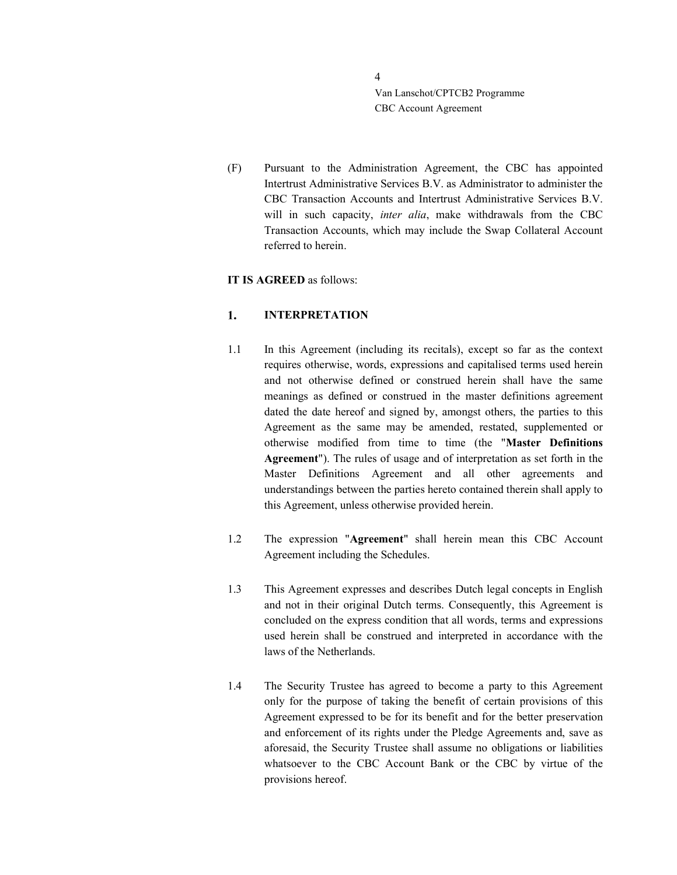(F) Pursuant to the Administration Agreement, the CBC has appointed Intertrust Administrative Services B.V. as Administrator to administer the CBC Transaction Accounts and Intertrust Administrative Services B.V. will in such capacity, inter alia, make withdrawals from the CBC Transaction Accounts, which may include the Swap Collateral Account referred to herein.

### IT IS AGREED as follows:

#### 1. INTERPRETATION

- 1.1 In this Agreement (including its recitals), except so far as the context requires otherwise, words, expressions and capitalised terms used herein and not otherwise defined or construed herein shall have the same meanings as defined or construed in the master definitions agreement dated the date hereof and signed by, amongst others, the parties to this Agreement as the same may be amended, restated, supplemented or otherwise modified from time to time (the "Master Definitions Agreement"). The rules of usage and of interpretation as set forth in the Master Definitions Agreement and all other agreements and understandings between the parties hereto contained therein shall apply to this Agreement, unless otherwise provided herein.
- 1.2 The expression "Agreement" shall herein mean this CBC Account Agreement including the Schedules.
- 1.3 This Agreement expresses and describes Dutch legal concepts in English and not in their original Dutch terms. Consequently, this Agreement is concluded on the express condition that all words, terms and expressions used herein shall be construed and interpreted in accordance with the laws of the Netherlands.
- 1.4 The Security Trustee has agreed to become a party to this Agreement only for the purpose of taking the benefit of certain provisions of this Agreement expressed to be for its benefit and for the better preservation and enforcement of its rights under the Pledge Agreements and, save as aforesaid, the Security Trustee shall assume no obligations or liabilities whatsoever to the CBC Account Bank or the CBC by virtue of the provisions hereof.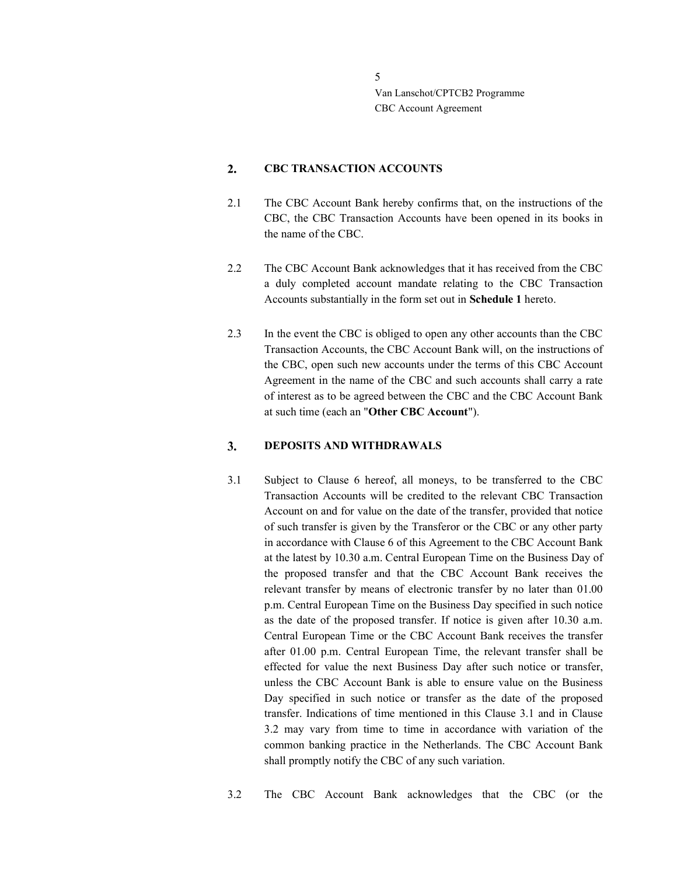#### $2.$ CBC TRANSACTION ACCOUNTS

- 2.1 The CBC Account Bank hereby confirms that, on the instructions of the CBC, the CBC Transaction Accounts have been opened in its books in the name of the CBC.
- 2.2 The CBC Account Bank acknowledges that it has received from the CBC a duly completed account mandate relating to the CBC Transaction Accounts substantially in the form set out in Schedule 1 hereto.
- 2.3 In the event the CBC is obliged to open any other accounts than the CBC Transaction Accounts, the CBC Account Bank will, on the instructions of the CBC, open such new accounts under the terms of this CBC Account Agreement in the name of the CBC and such accounts shall carry a rate of interest as to be agreed between the CBC and the CBC Account Bank at such time (each an "Other CBC Account").

#### $\mathbf{3}$ . DEPOSITS AND WITHDRAWALS

3.1 Subject to Clause 6 hereof, all moneys, to be transferred to the CBC Transaction Accounts will be credited to the relevant CBC Transaction Account on and for value on the date of the transfer, provided that notice of such transfer is given by the Transferor or the CBC or any other party in accordance with Clause 6 of this Agreement to the CBC Account Bank at the latest by 10.30 a.m. Central European Time on the Business Day of the proposed transfer and that the CBC Account Bank receives the relevant transfer by means of electronic transfer by no later than 01.00 p.m. Central European Time on the Business Day specified in such notice as the date of the proposed transfer. If notice is given after 10.30 a.m. Central European Time or the CBC Account Bank receives the transfer after 01.00 p.m. Central European Time, the relevant transfer shall be effected for value the next Business Day after such notice or transfer, unless the CBC Account Bank is able to ensure value on the Business Day specified in such notice or transfer as the date of the proposed transfer. Indications of time mentioned in this Clause 3.1 and in Clause 3.2 may vary from time to time in accordance with variation of the common banking practice in the Netherlands. The CBC Account Bank shall promptly notify the CBC of any such variation.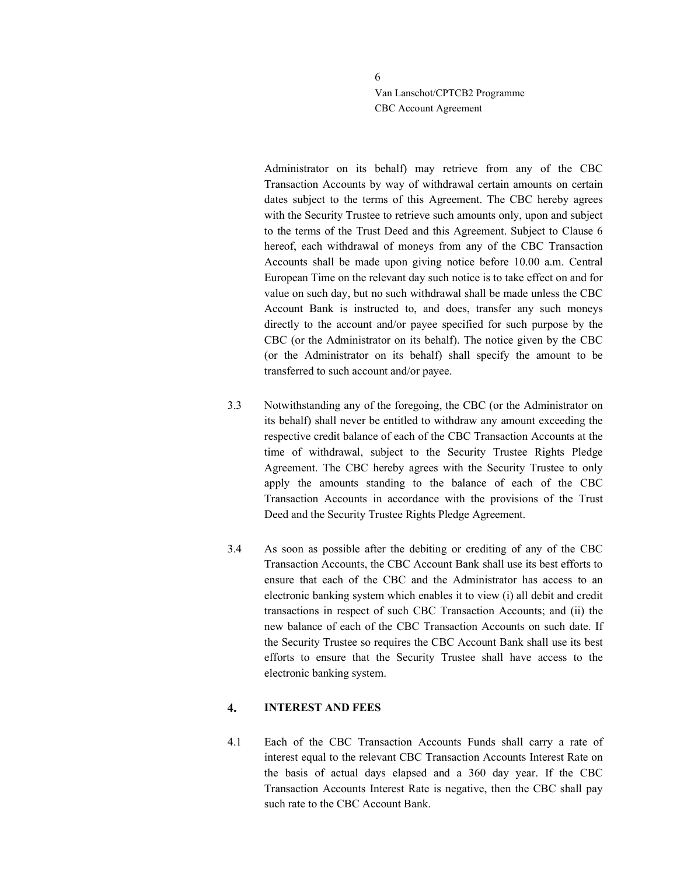> Administrator on its behalf) may retrieve from any of the CBC Transaction Accounts by way of withdrawal certain amounts on certain dates subject to the terms of this Agreement. The CBC hereby agrees with the Security Trustee to retrieve such amounts only, upon and subject to the terms of the Trust Deed and this Agreement. Subject to Clause 6 hereof, each withdrawal of moneys from any of the CBC Transaction Accounts shall be made upon giving notice before 10.00 a.m. Central European Time on the relevant day such notice is to take effect on and for value on such day, but no such withdrawal shall be made unless the CBC Account Bank is instructed to, and does, transfer any such moneys directly to the account and/or payee specified for such purpose by the CBC (or the Administrator on its behalf). The notice given by the CBC (or the Administrator on its behalf) shall specify the amount to be transferred to such account and/or payee.

- 3.3 Notwithstanding any of the foregoing, the CBC (or the Administrator on its behalf) shall never be entitled to withdraw any amount exceeding the respective credit balance of each of the CBC Transaction Accounts at the time of withdrawal, subject to the Security Trustee Rights Pledge Agreement. The CBC hereby agrees with the Security Trustee to only apply the amounts standing to the balance of each of the CBC Transaction Accounts in accordance with the provisions of the Trust Deed and the Security Trustee Rights Pledge Agreement.
- 3.4 As soon as possible after the debiting or crediting of any of the CBC Transaction Accounts, the CBC Account Bank shall use its best efforts to ensure that each of the CBC and the Administrator has access to an electronic banking system which enables it to view (i) all debit and credit transactions in respect of such CBC Transaction Accounts; and (ii) the new balance of each of the CBC Transaction Accounts on such date. If the Security Trustee so requires the CBC Account Bank shall use its best efforts to ensure that the Security Trustee shall have access to the electronic banking system.

#### $4.$ INTEREST AND FEES

4.1 Each of the CBC Transaction Accounts Funds shall carry a rate of interest equal to the relevant CBC Transaction Accounts Interest Rate on the basis of actual days elapsed and a 360 day year. If the CBC Transaction Accounts Interest Rate is negative, then the CBC shall pay such rate to the CBC Account Bank.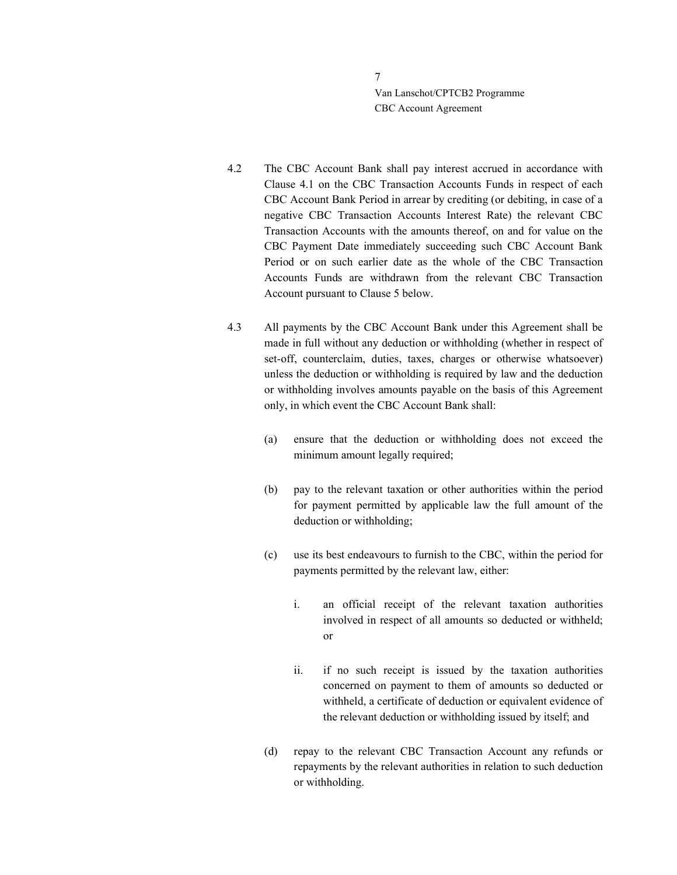- 4.2 The CBC Account Bank shall pay interest accrued in accordance with Clause 4.1 on the CBC Transaction Accounts Funds in respect of each CBC Account Bank Period in arrear by crediting (or debiting, in case of a negative CBC Transaction Accounts Interest Rate) the relevant CBC Transaction Accounts with the amounts thereof, on and for value on the CBC Payment Date immediately succeeding such CBC Account Bank Period or on such earlier date as the whole of the CBC Transaction Accounts Funds are withdrawn from the relevant CBC Transaction Account pursuant to Clause 5 below.
- 4.3 All payments by the CBC Account Bank under this Agreement shall be made in full without any deduction or withholding (whether in respect of set-off, counterclaim, duties, taxes, charges or otherwise whatsoever) unless the deduction or withholding is required by law and the deduction or withholding involves amounts payable on the basis of this Agreement only, in which event the CBC Account Bank shall:
	- (a) ensure that the deduction or withholding does not exceed the minimum amount legally required;
	- (b) pay to the relevant taxation or other authorities within the period for payment permitted by applicable law the full amount of the deduction or withholding;
	- (c) use its best endeavours to furnish to the CBC, within the period for payments permitted by the relevant law, either:
		- i. an official receipt of the relevant taxation authorities involved in respect of all amounts so deducted or withheld; or
		- ii. if no such receipt is issued by the taxation authorities concerned on payment to them of amounts so deducted or withheld, a certificate of deduction or equivalent evidence of the relevant deduction or withholding issued by itself; and
	- (d) repay to the relevant CBC Transaction Account any refunds or repayments by the relevant authorities in relation to such deduction or withholding.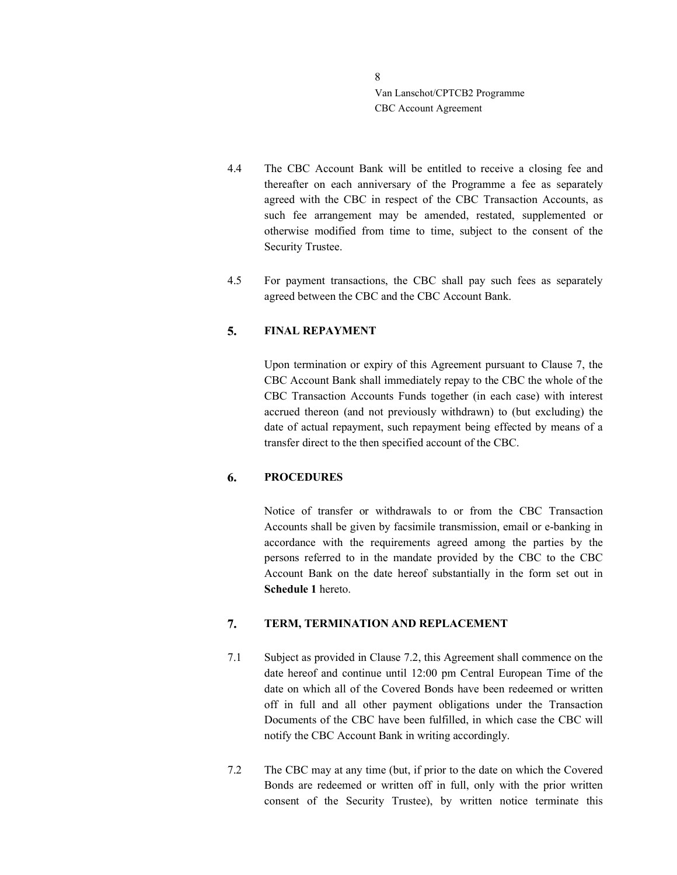- 4.4 The CBC Account Bank will be entitled to receive a closing fee and thereafter on each anniversary of the Programme a fee as separately agreed with the CBC in respect of the CBC Transaction Accounts, as such fee arrangement may be amended, restated, supplemented or otherwise modified from time to time, subject to the consent of the Security Trustee.
- 4.5 For payment transactions, the CBC shall pay such fees as separately agreed between the CBC and the CBC Account Bank.

#### 5. FINAL REPAYMENT

Upon termination or expiry of this Agreement pursuant to Clause 7, the CBC Account Bank shall immediately repay to the CBC the whole of the CBC Transaction Accounts Funds together (in each case) with interest accrued thereon (and not previously withdrawn) to (but excluding) the date of actual repayment, such repayment being effected by means of a transfer direct to the then specified account of the CBC.

#### 6. **PROCEDURES**

Notice of transfer or withdrawals to or from the CBC Transaction Accounts shall be given by facsimile transmission, email or e-banking in accordance with the requirements agreed among the parties by the persons referred to in the mandate provided by the CBC to the CBC Account Bank on the date hereof substantially in the form set out in Schedule 1 hereto.

#### $7.$ TERM, TERMINATION AND REPLACEMENT

- 7.1 Subject as provided in Clause 7.2, this Agreement shall commence on the date hereof and continue until 12:00 pm Central European Time of the date on which all of the Covered Bonds have been redeemed or written off in full and all other payment obligations under the Transaction Documents of the CBC have been fulfilled, in which case the CBC will notify the CBC Account Bank in writing accordingly.
- 7.2 The CBC may at any time (but, if prior to the date on which the Covered Bonds are redeemed or written off in full, only with the prior written consent of the Security Trustee), by written notice terminate this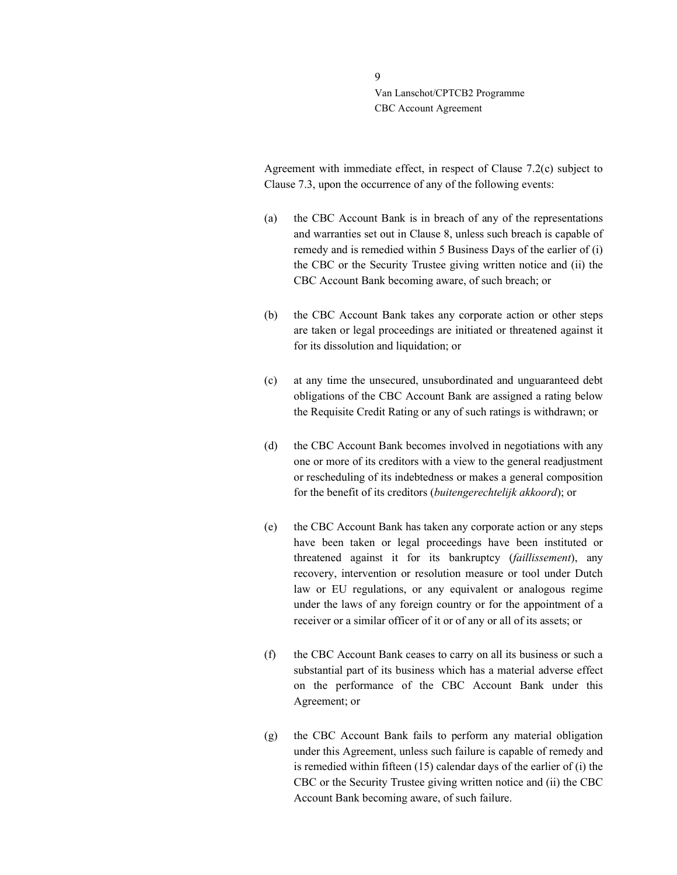> Agreement with immediate effect, in respect of Clause 7.2(c) subject to Clause 7.3, upon the occurrence of any of the following events:

- (a) the CBC Account Bank is in breach of any of the representations and warranties set out in Clause 8, unless such breach is capable of remedy and is remedied within 5 Business Days of the earlier of (i) the CBC or the Security Trustee giving written notice and (ii) the CBC Account Bank becoming aware, of such breach; or
- (b) the CBC Account Bank takes any corporate action or other steps are taken or legal proceedings are initiated or threatened against it for its dissolution and liquidation; or
- (c) at any time the unsecured, unsubordinated and unguaranteed debt obligations of the CBC Account Bank are assigned a rating below the Requisite Credit Rating or any of such ratings is withdrawn; or
- (d) the CBC Account Bank becomes involved in negotiations with any one or more of its creditors with a view to the general readjustment or rescheduling of its indebtedness or makes a general composition for the benefit of its creditors (buitengerechtelijk akkoord); or
- (e) the CBC Account Bank has taken any corporate action or any steps have been taken or legal proceedings have been instituted or threatened against it for its bankruptcy (faillissement), any recovery, intervention or resolution measure or tool under Dutch law or EU regulations, or any equivalent or analogous regime under the laws of any foreign country or for the appointment of a receiver or a similar officer of it or of any or all of its assets; or
- (f) the CBC Account Bank ceases to carry on all its business or such a substantial part of its business which has a material adverse effect on the performance of the CBC Account Bank under this Agreement; or
- (g) the CBC Account Bank fails to perform any material obligation under this Agreement, unless such failure is capable of remedy and is remedied within fifteen (15) calendar days of the earlier of (i) the CBC or the Security Trustee giving written notice and (ii) the CBC Account Bank becoming aware, of such failure.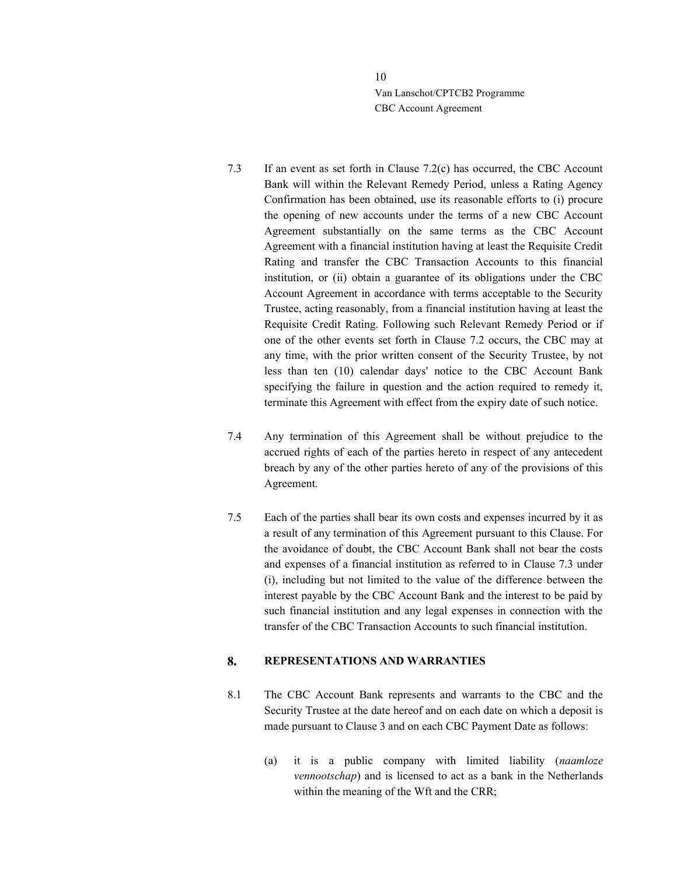- 7.3 If an event as set forth in Clause 7.2(c) has occurred, the CBC Account Bank will within the Relevant Remedy Period, unless a Rating Agency Confirmation has been obtained, use its reasonable efforts to (i) procure the opening of new accounts under the terms of a new CBC Account Agreement substantially on the same terms as the CBC Account Agreement with a financial institution having at least the Requisite Credit Rating and transfer the CBC Transaction Accounts to this financial institution, or (ii) obtain a guarantee of its obligations under the CBC Account Agreement in accordance with terms acceptable to the Security Trustee, acting reasonably, from a financial institution having at least the Requisite Credit Rating. Following such Relevant Remedy Period or if one of the other events set forth in Clause 7.2 occurs, the CBC may at any time, with the prior written consent of the Security Trustee, by not less than ten (10) calendar days' notice to the CBC Account Bank specifying the failure in question and the action required to remedy it, terminate this Agreement with effect from the expiry date of such notice.
- 7.4 Any termination of this Agreement shall be without prejudice to the accrued rights of each of the parties hereto in respect of any antecedent breach by any of the other parties hereto of any of the provisions of this Agreement.
- 7.5 Each of the parties shall bear its own costs and expenses incurred by it as a result of any termination of this Agreement pursuant to this Clause. For the avoidance of doubt, the CBC Account Bank shall not bear the costs and expenses of a financial institution as referred to in Clause 7.3 under (i), including but not limited to the value of the difference between the interest payable by the CBC Account Bank and the interest to be paid by such financial institution and any legal expenses in connection with the transfer of the CBC Transaction Accounts to such financial institution.

#### 8. REPRESENTATIONS AND WARRANTIES

- 8.1 The CBC Account Bank represents and warrants to the CBC and the Security Trustee at the date hereof and on each date on which a deposit is made pursuant to Clause 3 and on each CBC Payment Date as follows:
	- (a) it is a public company with limited liability (naamloze vennootschap) and is licensed to act as a bank in the Netherlands within the meaning of the Wft and the CRR;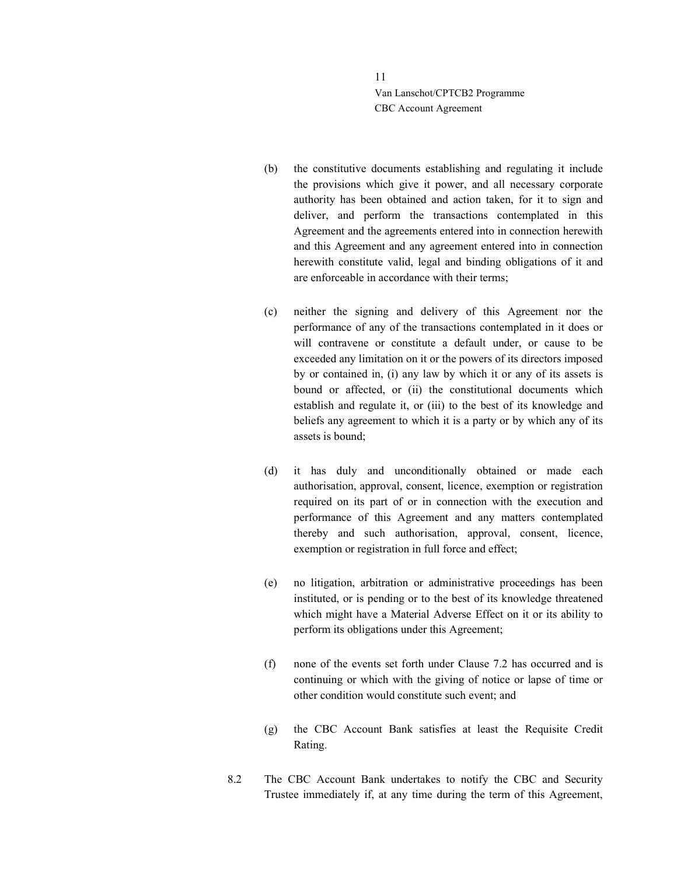- (b) the constitutive documents establishing and regulating it include the provisions which give it power, and all necessary corporate authority has been obtained and action taken, for it to sign and deliver, and perform the transactions contemplated in this Agreement and the agreements entered into in connection herewith and this Agreement and any agreement entered into in connection herewith constitute valid, legal and binding obligations of it and are enforceable in accordance with their terms;
- (c) neither the signing and delivery of this Agreement nor the performance of any of the transactions contemplated in it does or will contravene or constitute a default under, or cause to be exceeded any limitation on it or the powers of its directors imposed by or contained in, (i) any law by which it or any of its assets is bound or affected, or (ii) the constitutional documents which establish and regulate it, or (iii) to the best of its knowledge and beliefs any agreement to which it is a party or by which any of its assets is bound;
- (d) it has duly and unconditionally obtained or made each authorisation, approval, consent, licence, exemption or registration required on its part of or in connection with the execution and performance of this Agreement and any matters contemplated thereby and such authorisation, approval, consent, licence, exemption or registration in full force and effect;
- (e) no litigation, arbitration or administrative proceedings has been instituted, or is pending or to the best of its knowledge threatened which might have a Material Adverse Effect on it or its ability to perform its obligations under this Agreement;
- (f) none of the events set forth under Clause 7.2 has occurred and is continuing or which with the giving of notice or lapse of time or other condition would constitute such event; and
- (g) the CBC Account Bank satisfies at least the Requisite Credit Rating.
- 8.2 The CBC Account Bank undertakes to notify the CBC and Security Trustee immediately if, at any time during the term of this Agreement,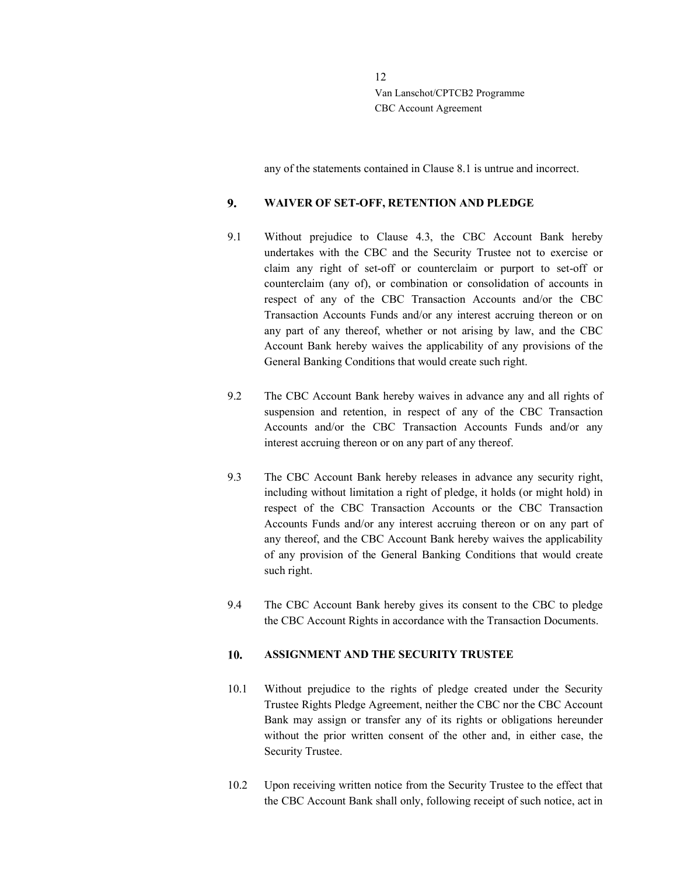any of the statements contained in Clause 8.1 is untrue and incorrect.

#### 9. WAIVER OF SET-OFF, RETENTION AND PLEDGE

- 9.1 Without prejudice to Clause 4.3, the CBC Account Bank hereby undertakes with the CBC and the Security Trustee not to exercise or claim any right of set-off or counterclaim or purport to set-off or counterclaim (any of), or combination or consolidation of accounts in respect of any of the CBC Transaction Accounts and/or the CBC Transaction Accounts Funds and/or any interest accruing thereon or on any part of any thereof, whether or not arising by law, and the CBC Account Bank hereby waives the applicability of any provisions of the General Banking Conditions that would create such right.
- 9.2 The CBC Account Bank hereby waives in advance any and all rights of suspension and retention, in respect of any of the CBC Transaction Accounts and/or the CBC Transaction Accounts Funds and/or any interest accruing thereon or on any part of any thereof.
- 9.3 The CBC Account Bank hereby releases in advance any security right, including without limitation a right of pledge, it holds (or might hold) in respect of the CBC Transaction Accounts or the CBC Transaction Accounts Funds and/or any interest accruing thereon or on any part of any thereof, and the CBC Account Bank hereby waives the applicability of any provision of the General Banking Conditions that would create such right.
- 9.4 The CBC Account Bank hereby gives its consent to the CBC to pledge the CBC Account Rights in accordance with the Transaction Documents.

#### 10. ASSIGNMENT AND THE SECURITY TRUSTEE

- 10.1 Without prejudice to the rights of pledge created under the Security Trustee Rights Pledge Agreement, neither the CBC nor the CBC Account Bank may assign or transfer any of its rights or obligations hereunder without the prior written consent of the other and, in either case, the Security Trustee.
- 10.2 Upon receiving written notice from the Security Trustee to the effect that the CBC Account Bank shall only, following receipt of such notice, act in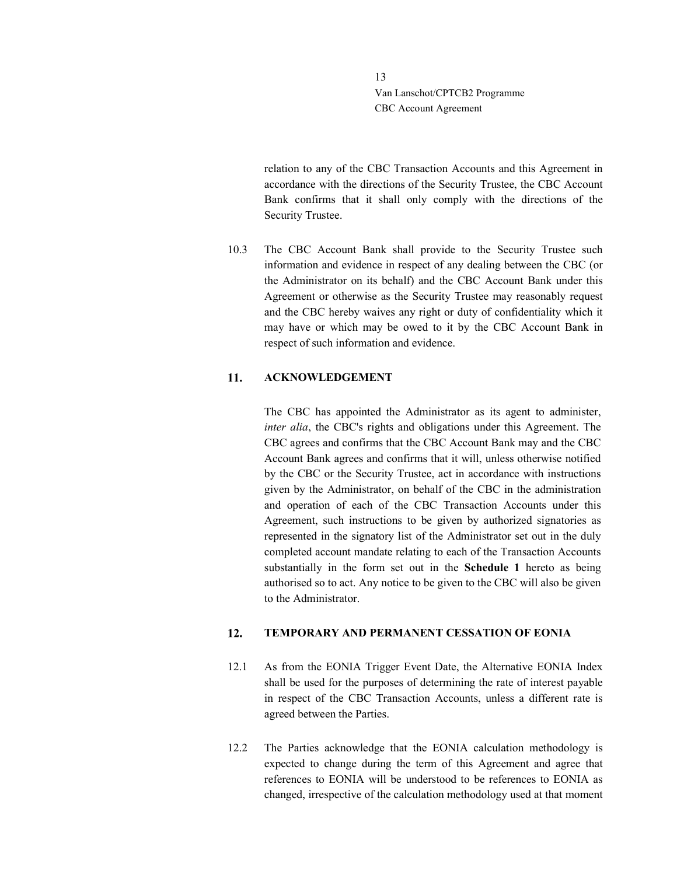> relation to any of the CBC Transaction Accounts and this Agreement in accordance with the directions of the Security Trustee, the CBC Account Bank confirms that it shall only comply with the directions of the Security Trustee.

10.3 The CBC Account Bank shall provide to the Security Trustee such information and evidence in respect of any dealing between the CBC (or the Administrator on its behalf) and the CBC Account Bank under this Agreement or otherwise as the Security Trustee may reasonably request and the CBC hereby waives any right or duty of confidentiality which it may have or which may be owed to it by the CBC Account Bank in respect of such information and evidence.

#### 11. ACKNOWLEDGEMENT

The CBC has appointed the Administrator as its agent to administer, inter alia, the CBC's rights and obligations under this Agreement. The CBC agrees and confirms that the CBC Account Bank may and the CBC Account Bank agrees and confirms that it will, unless otherwise notified by the CBC or the Security Trustee, act in accordance with instructions given by the Administrator, on behalf of the CBC in the administration and operation of each of the CBC Transaction Accounts under this Agreement, such instructions to be given by authorized signatories as represented in the signatory list of the Administrator set out in the duly completed account mandate relating to each of the Transaction Accounts substantially in the form set out in the Schedule 1 hereto as being authorised so to act. Any notice to be given to the CBC will also be given to the Administrator.

#### $12.$ TEMPORARY AND PERMANENT CESSATION OF EONIA

- 12.1 As from the EONIA Trigger Event Date, the Alternative EONIA Index shall be used for the purposes of determining the rate of interest payable in respect of the CBC Transaction Accounts, unless a different rate is agreed between the Parties.
- 12.2 The Parties acknowledge that the EONIA calculation methodology is expected to change during the term of this Agreement and agree that references to EONIA will be understood to be references to EONIA as changed, irrespective of the calculation methodology used at that moment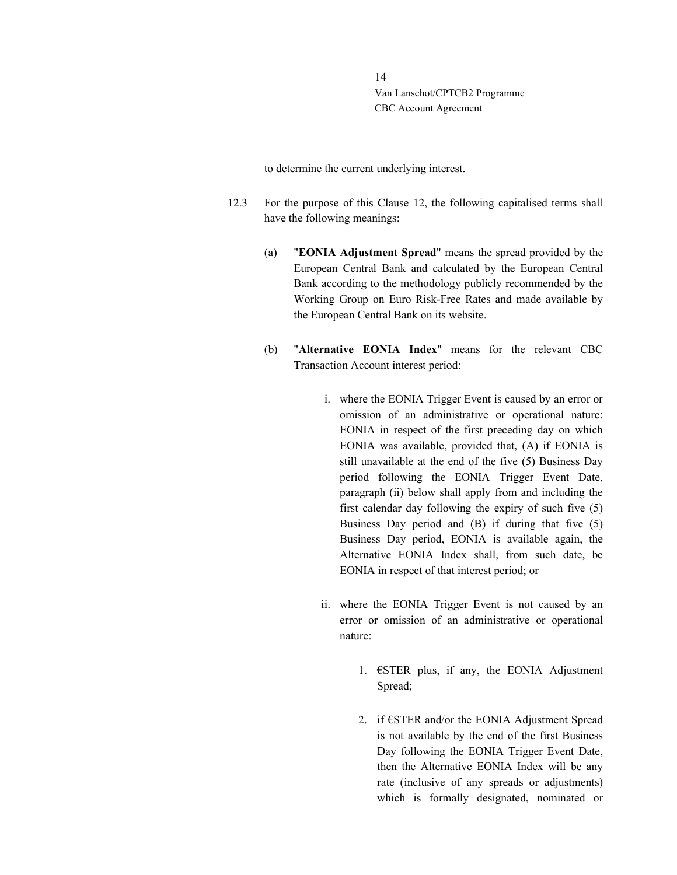to determine the current underlying interest.

- 12.3 For the purpose of this Clause 12, the following capitalised terms shall have the following meanings:
	- (a) "EONIA Adjustment Spread" means the spread provided by the European Central Bank and calculated by the European Central Bank according to the methodology publicly recommended by the Working Group on Euro Risk-Free Rates and made available by the European Central Bank on its website.
	- (b) "Alternative EONIA Index" means for the relevant CBC Transaction Account interest period:
		- i. where the EONIA Trigger Event is caused by an error or omission of an administrative or operational nature: EONIA in respect of the first preceding day on which EONIA was available, provided that, (A) if EONIA is still unavailable at the end of the five (5) Business Day period following the EONIA Trigger Event Date, paragraph (ii) below shall apply from and including the first calendar day following the expiry of such five (5) Business Day period and (B) if during that five (5) Business Day period, EONIA is available again, the Alternative EONIA Index shall, from such date, be EONIA in respect of that interest period; or
		- ii. where the EONIA Trigger Event is not caused by an error or omission of an administrative or operational nature:
			- 1.  $\epsilon$ STER plus, if any, the EONIA Adjustment Spread;
			- 2. if €STER and/or the EONIA Adjustment Spread is not available by the end of the first Business Day following the EONIA Trigger Event Date, then the Alternative EONIA Index will be any rate (inclusive of any spreads or adjustments) which is formally designated, nominated or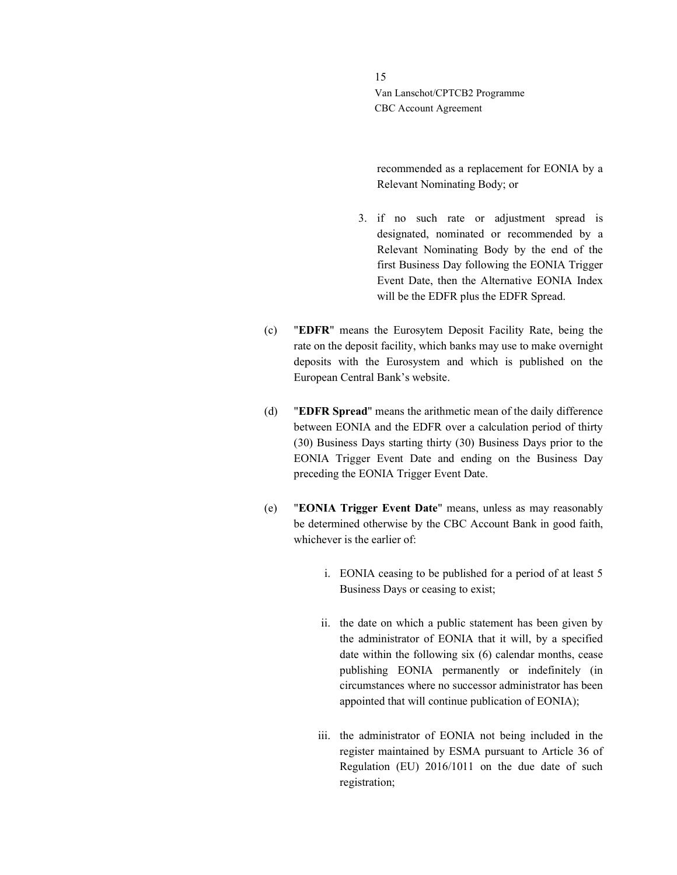> recommended as a replacement for EONIA by a Relevant Nominating Body; or

- 3. if no such rate or adjustment spread is designated, nominated or recommended by a Relevant Nominating Body by the end of the first Business Day following the EONIA Trigger Event Date, then the Alternative EONIA Index will be the EDFR plus the EDFR Spread.
- (c) "EDFR" means the Eurosytem Deposit Facility Rate, being the rate on the deposit facility, which banks may use to make overnight deposits with the Eurosystem and which is published on the European Central Bank's website.
- (d) "EDFR Spread" means the arithmetic mean of the daily difference between EONIA and the EDFR over a calculation period of thirty (30) Business Days starting thirty (30) Business Days prior to the EONIA Trigger Event Date and ending on the Business Day preceding the EONIA Trigger Event Date.
- (e) "EONIA Trigger Event Date" means, unless as may reasonably be determined otherwise by the CBC Account Bank in good faith, whichever is the earlier of:
	- i. EONIA ceasing to be published for a period of at least 5 Business Days or ceasing to exist;
	- ii. the date on which a public statement has been given by the administrator of EONIA that it will, by a specified date within the following six (6) calendar months, cease publishing EONIA permanently or indefinitely (in circumstances where no successor administrator has been appointed that will continue publication of EONIA);
	- iii. the administrator of EONIA not being included in the register maintained by ESMA pursuant to Article 36 of Regulation (EU) 2016/1011 on the due date of such registration;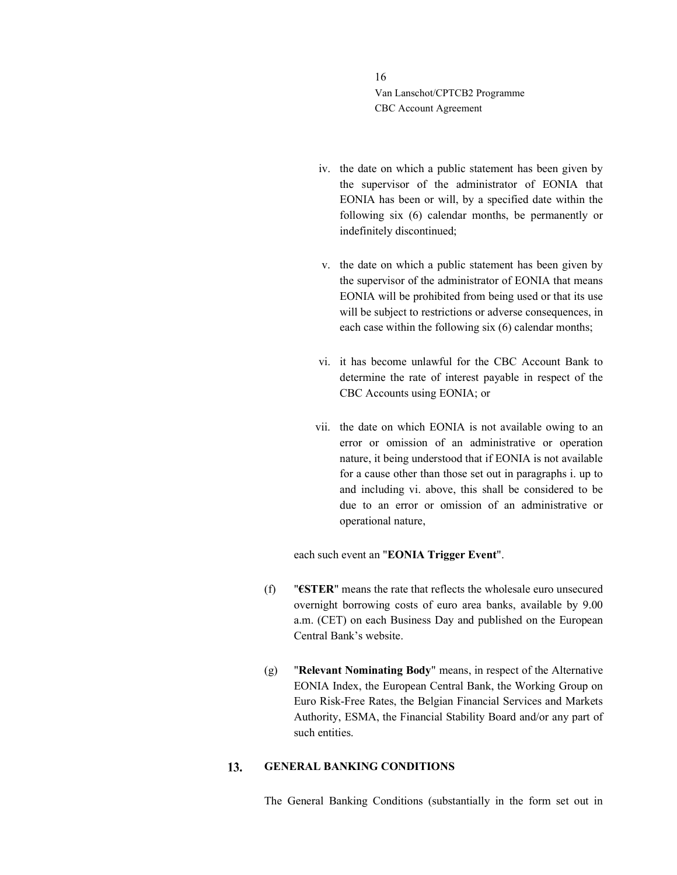- iv. the date on which a public statement has been given by the supervisor of the administrator of EONIA that EONIA has been or will, by a specified date within the following six (6) calendar months, be permanently or indefinitely discontinued;
- v. the date on which a public statement has been given by the supervisor of the administrator of EONIA that means EONIA will be prohibited from being used or that its use will be subject to restrictions or adverse consequences, in each case within the following six (6) calendar months;
- vi. it has become unlawful for the CBC Account Bank to determine the rate of interest payable in respect of the CBC Accounts using EONIA; or
- vii. the date on which EONIA is not available owing to an error or omission of an administrative or operation nature, it being understood that if EONIA is not available for a cause other than those set out in paragraphs i. up to and including vi. above, this shall be considered to be due to an error or omission of an administrative or operational nature,

each such event an "EONIA Trigger Event".

- (f) "€STER" means the rate that reflects the wholesale euro unsecured overnight borrowing costs of euro area banks, available by 9.00 a.m. (CET) on each Business Day and published on the European Central Bank's website.
- (g) "Relevant Nominating Body" means, in respect of the Alternative EONIA Index, the European Central Bank, the Working Group on Euro Risk-Free Rates, the Belgian Financial Services and Markets Authority, ESMA, the Financial Stability Board and/or any part of such entities.

#### 13. GENERAL BANKING CONDITIONS

The General Banking Conditions (substantially in the form set out in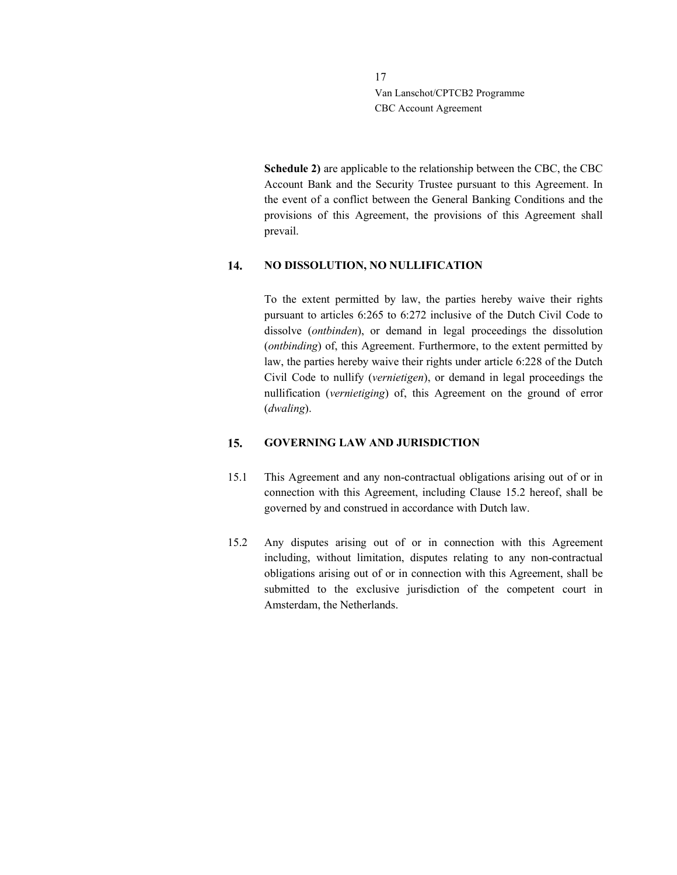> Schedule 2) are applicable to the relationship between the CBC, the CBC Account Bank and the Security Trustee pursuant to this Agreement. In the event of a conflict between the General Banking Conditions and the provisions of this Agreement, the provisions of this Agreement shall prevail.

#### 14. NO DISSOLUTION, NO NULLIFICATION

To the extent permitted by law, the parties hereby waive their rights pursuant to articles 6:265 to 6:272 inclusive of the Dutch Civil Code to dissolve (ontbinden), or demand in legal proceedings the dissolution (ontbinding) of, this Agreement. Furthermore, to the extent permitted by law, the parties hereby waive their rights under article 6:228 of the Dutch Civil Code to nullify (vernietigen), or demand in legal proceedings the nullification (vernietiging) of, this Agreement on the ground of error (dwaling).

#### $15.$ GOVERNING LAW AND JURISDICTION

- 15.1 This Agreement and any non-contractual obligations arising out of or in connection with this Agreement, including Clause 15.2 hereof, shall be governed by and construed in accordance with Dutch law.
- 15.2 Any disputes arising out of or in connection with this Agreement including, without limitation, disputes relating to any non-contractual obligations arising out of or in connection with this Agreement, shall be submitted to the exclusive jurisdiction of the competent court in Amsterdam, the Netherlands.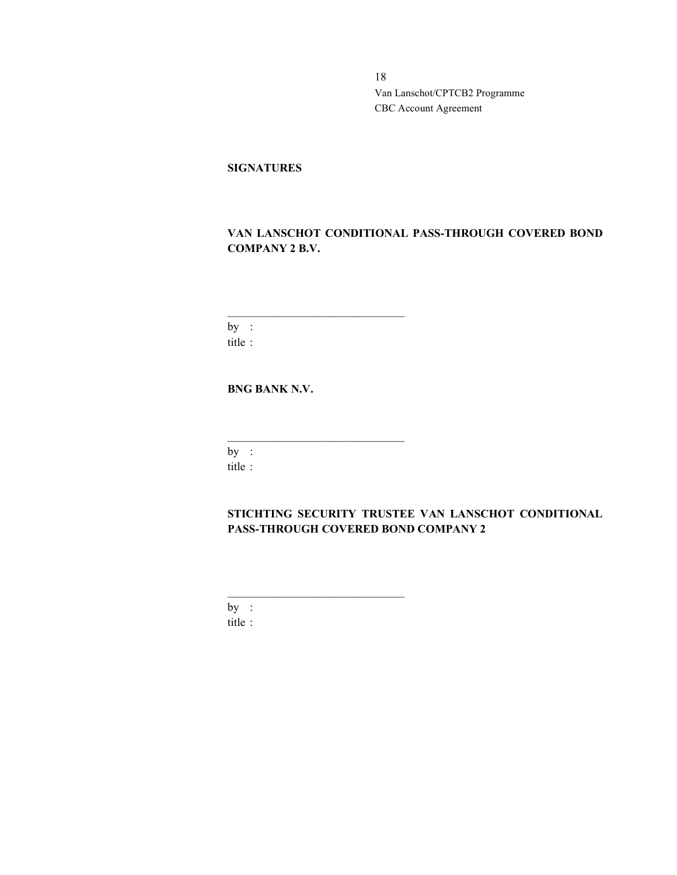### **SIGNATURES**

## VAN LANSCHOT CONDITIONAL PASS-THROUGH COVERED BOND COMPANY 2 B.V.

by : title :

BNG BANK N.V.

 $\mathcal{L}_\text{max}$  and  $\mathcal{L}_\text{max}$  and  $\mathcal{L}_\text{max}$  and  $\mathcal{L}_\text{max}$ 

 $\mathcal{L}_\text{max}$  and  $\mathcal{L}_\text{max}$  and  $\mathcal{L}_\text{max}$  and  $\mathcal{L}_\text{max}$ 

 $\mathcal{L}_\text{max}$  and  $\mathcal{L}_\text{max}$  and  $\mathcal{L}_\text{max}$  and  $\mathcal{L}_\text{max}$ 

 $by:$ title :

STICHTING SECURITY TRUSTEE VAN LANSCHOT CONDITIONAL PASS-THROUGH COVERED BOND COMPANY 2

by : title :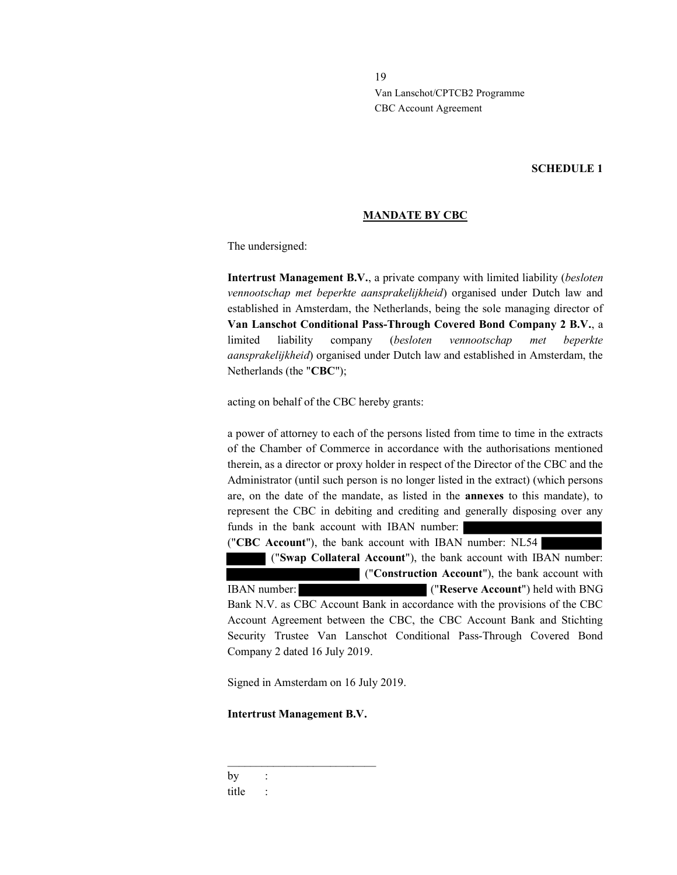### SCHEDULE 1

### MANDATE BY CBC

The undersigned:

Intertrust Management B.V., a private company with limited liability (besloten vennootschap met beperkte aansprakelijkheid) organised under Dutch law and established in Amsterdam, the Netherlands, being the sole managing director of Van Lanschot Conditional Pass-Through Covered Bond Company 2 B.V., a limited liability company (besloten vennootschap met beperkte aansprakelijkheid) organised under Dutch law and established in Amsterdam, the Netherlands (the "CBC");

acting on behalf of the CBC hereby grants:

a power of attorney to each of the persons listed from time to time in the extracts of the Chamber of Commerce in accordance with the authorisations mentioned therein, as a director or proxy holder in respect of the Director of the CBC and the Administrator (until such person is no longer listed in the extract) (which persons are, on the date of the mandate, as listed in the annexes to this mandate), to represent the CBC in debiting and crediting and generally disposing over any funds in the bank account with IBAN number:

("CBC Account"), the bank account with IBAN number: NL54

("Swap Collateral Account"), the bank account with IBAN number:

 ("Construction Account"), the bank account with IBAN number: ("Reserve Account") held with BNG Bank N.V. as CBC Account Bank in accordance with the provisions of the CBC Account Agreement between the CBC, the CBC Account Bank and Stichting Security Trustee Van Lanschot Conditional Pass-Through Covered Bond Company 2 dated 16 July 2019.

Signed in Amsterdam on 16 July 2019.

Intertrust Management B.V.

 $\mathcal{L}_\text{max}$  and  $\mathcal{L}_\text{max}$  and  $\mathcal{L}_\text{max}$  and  $\mathcal{L}_\text{max}$ 

 $by$  : title :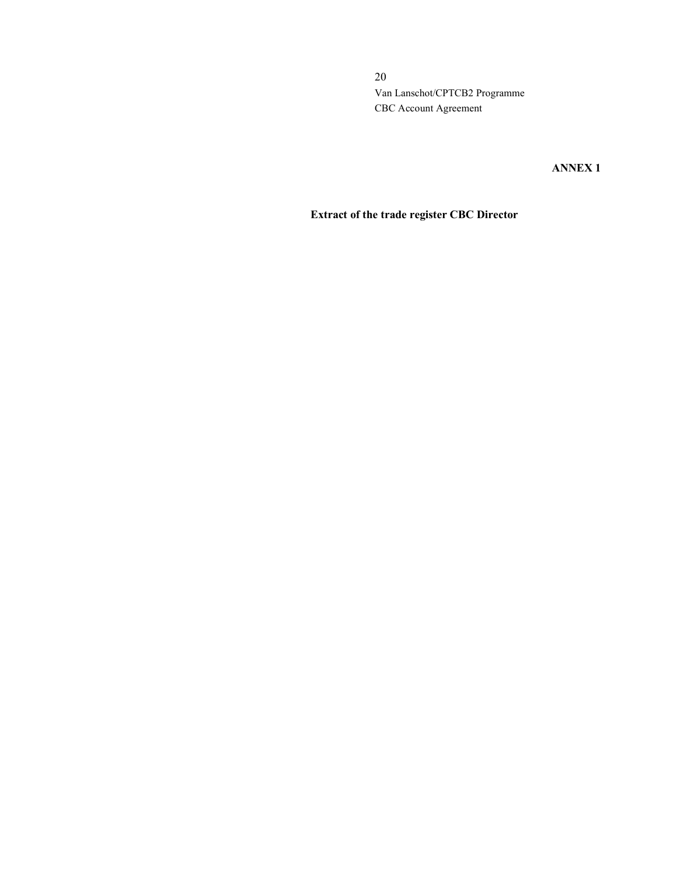ANNEX 1

## Extract of the trade register CBC Director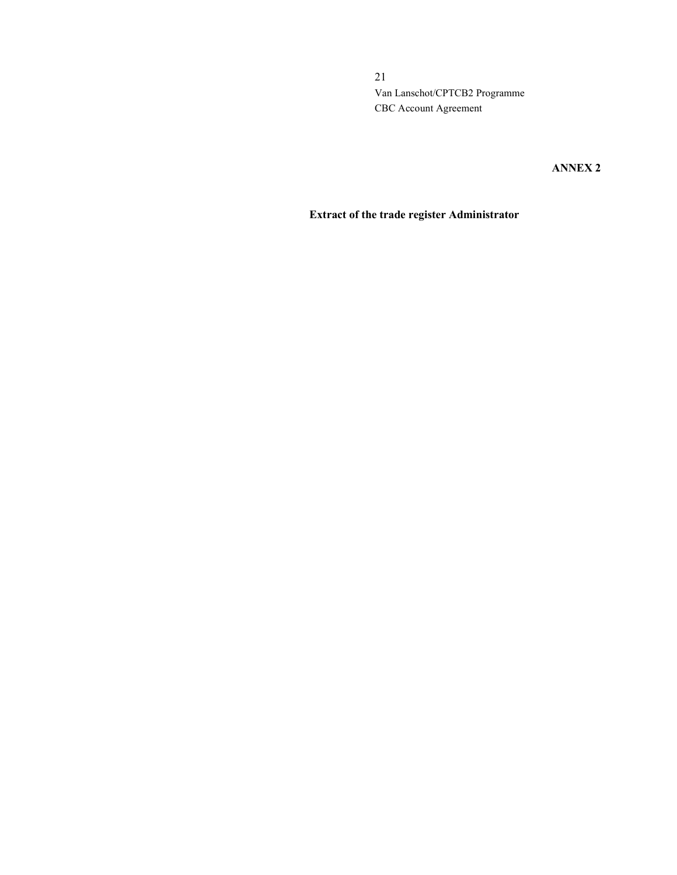ANNEX 2

## Extract of the trade register Administrator